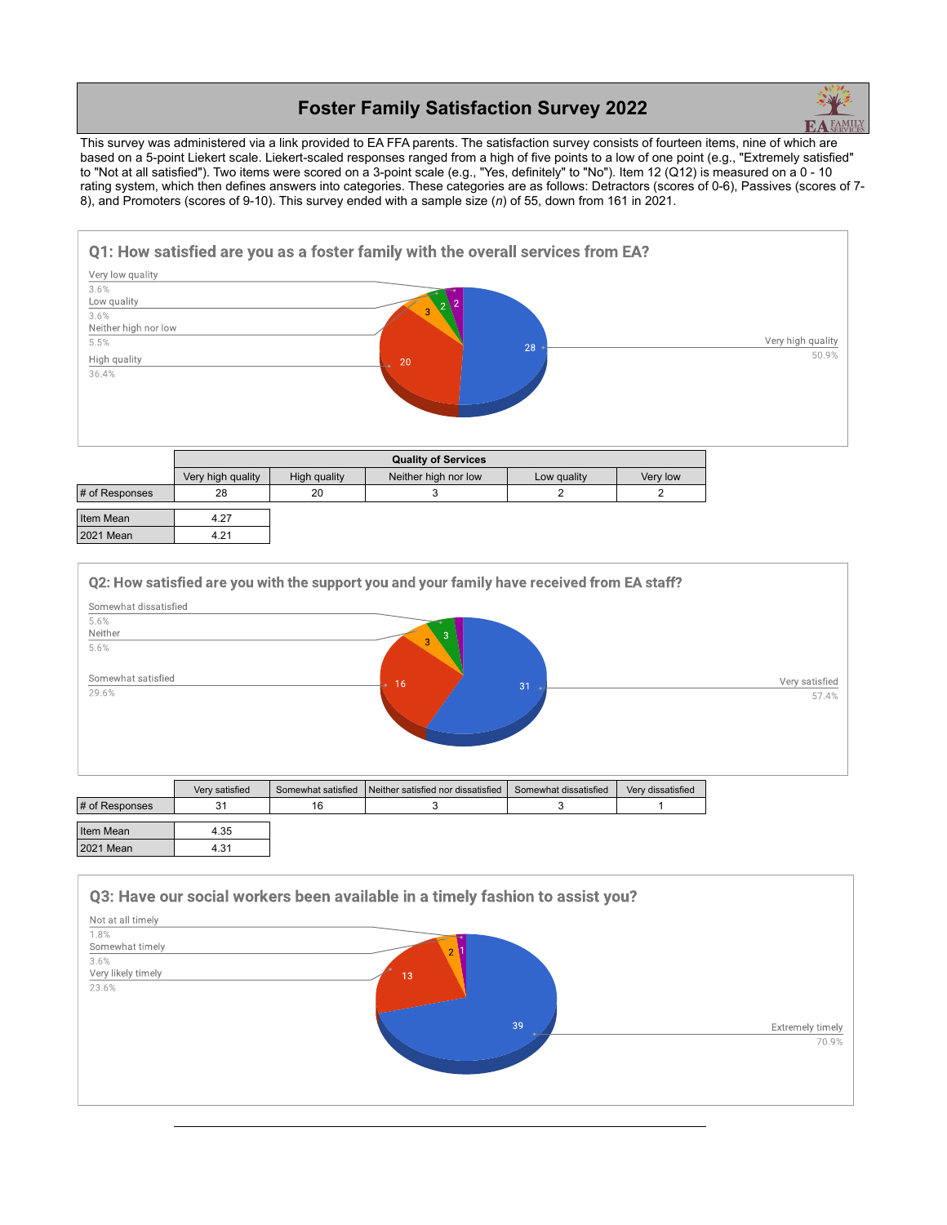## **Foster Family Satisfaction Survey 2022**



This survey was administered via a link provided to EA FFA parents. The satisfaction survey consists of fourteen items, nine of which are based on a 5-point Liekert scale. Liekert-scaled responses ranged from a high of five points to a low of one point (e.g., "Extremely satisfied" to "Not at all satisfied"). Two items were scored on a 3-point scale (e.g., "Yes, definitely" to "No"). Item 12 (Q12) is measured on a 0 - 10 rating system, which then defines answers into categories. These categories are as follows: Detractors (scores of 0-6), Passives (scores of 7- 8), and Promoters (scores of 9-10). This survey ended with a sample size (*n*) of 55, down from 161 in 2021.



|                | <b>Quality of Services</b> |              |                      |             |          |
|----------------|----------------------------|--------------|----------------------|-------------|----------|
|                | Very high quality          | High quality | Neither high nor low | Low quality | Very low |
| # of Responses | 28                         | 20           |                      |             |          |
| Item Mean      | 4.27                       |              |                      |             |          |

| Titelli Medil |  |
|---------------|--|
| 12021 Mean    |  |
|               |  |



| # of Responses | 2 <sub>1</sub><br>ັ | 16 |  |  |
|----------------|---------------------|----|--|--|
| Item Mean      | 4.35                |    |  |  |
| 2021 Mean      | 4.31                |    |  |  |

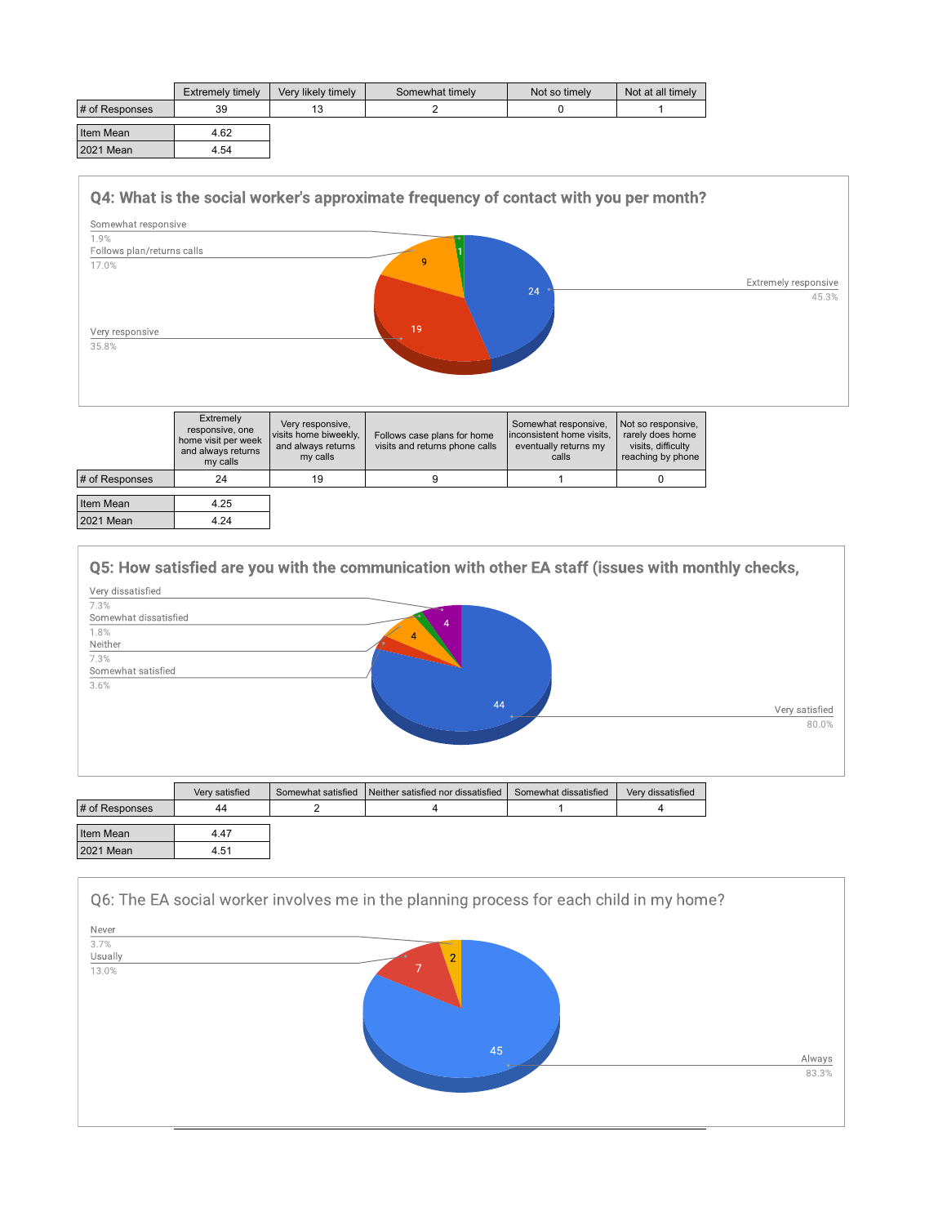|                | Extremely timely | Very likely timely | Somewhat timely | Not so timely | Not at all timely |
|----------------|------------------|--------------------|-----------------|---------------|-------------------|
| # of Responses | 39               | 13                 |                 |               |                   |
| Item Mean      | 4.62             |                    |                 |               |                   |
| 2021 Mean      | 4.54             |                    |                 |               |                   |



|                  | Extremely<br>responsive, one<br>home visit per week<br>and always returns<br>my calls | Very responsive,<br>visits home biweekly,<br>and always returns<br>my calls | Follows case plans for home<br>visits and returns phone calls | Somewhat responsive,<br>linconsistent home visits.<br>eventually returns my<br>calls | Not so responsive,<br>rarely does home<br>visits, difficulty<br>reaching by phone |
|------------------|---------------------------------------------------------------------------------------|-----------------------------------------------------------------------------|---------------------------------------------------------------|--------------------------------------------------------------------------------------|-----------------------------------------------------------------------------------|
| # of Responses   | 24                                                                                    | 19                                                                          |                                                               |                                                                                      |                                                                                   |
| Item Mean        | 4.25                                                                                  |                                                                             |                                                               |                                                                                      |                                                                                   |
| <b>2021 Mean</b> | 4.24                                                                                  |                                                                             |                                                               |                                                                                      |                                                                                   |



| # of Responses | 44   |  |  |
|----------------|------|--|--|
| Item Mean      | 4.47 |  |  |
| 2021 Mean      | 4.51 |  |  |

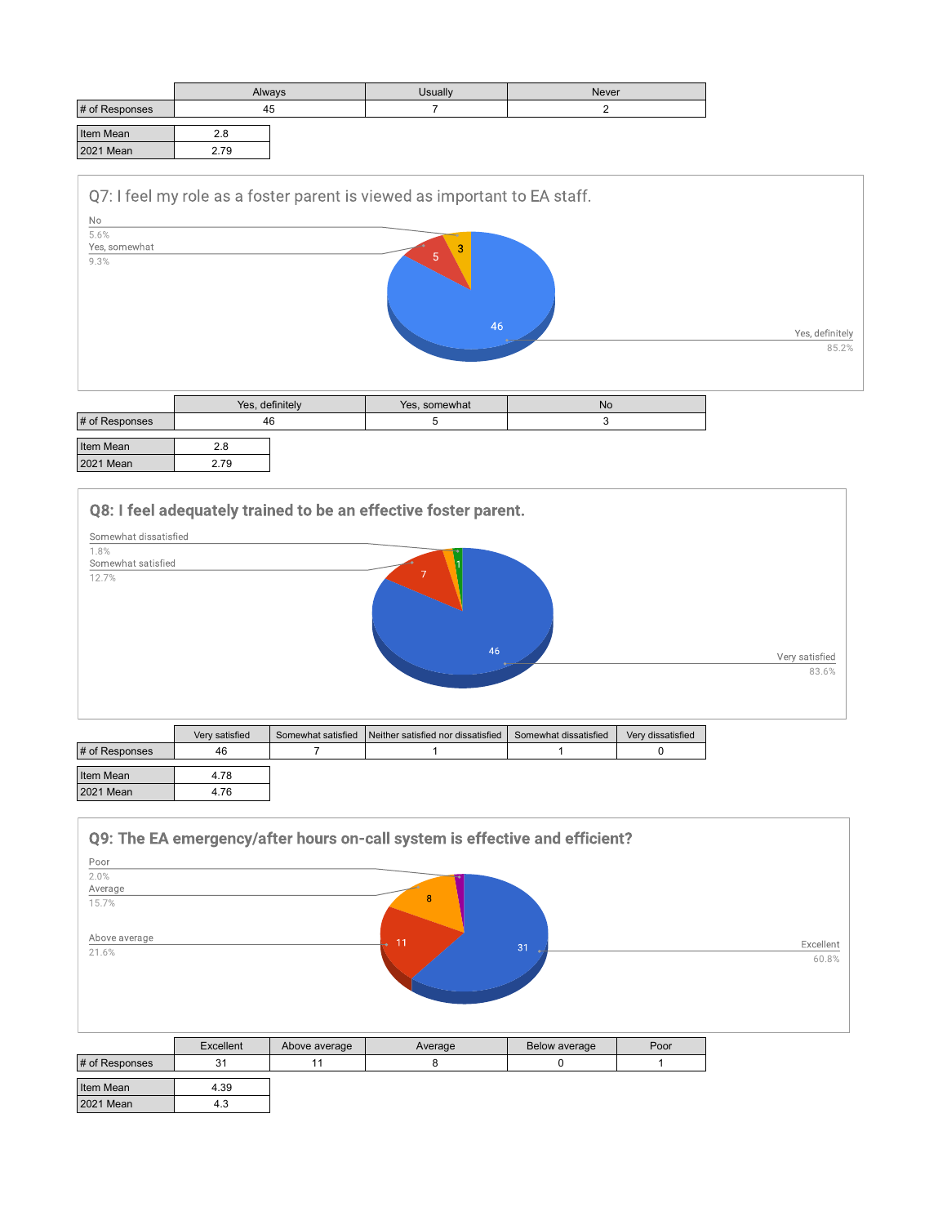|                | Always |  | Usually | <b>Never</b> |
|----------------|--------|--|---------|--------------|
| # of Responses | 45     |  |         |              |
| Item Mean      | 2.8    |  |         |              |
| 2021 Mean      | 2.79   |  |         |              |



|                  |      | Yes, definitely | Yes, somewhat | <b>No</b> |
|------------------|------|-----------------|---------------|-----------|
| # of Responses   | 46   |                 |               |           |
| Item Mean        | 2.8  |                 |               |           |
| <b>2021 Mean</b> | 2.79 |                 |               |           |

Q8: I feel adequately trained to be an effective foster parent. Somewhat dissatisfied  $1.8%$ 1.8%<br>Somewhat satisfied<br>12.7% 46 Very satisfied<br> $\frac{83.6\%}{ }$ 

|                | Very satisfied | Somewhat satisfied | Neither satisfied nor dissatisfied | Somewhat dissatisfied | Very dissatisfied |
|----------------|----------------|--------------------|------------------------------------|-----------------------|-------------------|
| # of Responses | 46             |                    |                                    |                       |                   |
| Item Mean      | 4.78           |                    |                                    |                       |                   |
| 2021 Mean      | 4.76           |                    |                                    |                       |                   |

|                |           |               | Q9: The EA emergency/after hours on-call system is effective and efficient? |               |      |           |
|----------------|-----------|---------------|-----------------------------------------------------------------------------|---------------|------|-----------|
| Poor           |           |               |                                                                             |               |      |           |
| 2.0%           |           |               |                                                                             |               |      |           |
| Average        |           |               |                                                                             |               |      |           |
| 15.7%          |           |               | 8                                                                           |               |      |           |
| Above average  |           |               | 11                                                                          |               |      | Excellent |
| 21.6%          |           |               |                                                                             | 31            |      | 60.8%     |
|                | Excellent | Above average | Average                                                                     | Below average | Poor |           |
| # of Responses | 31        | 11            | 8                                                                           |               |      |           |

| Item Mean        | 4.39 |
|------------------|------|
| <b>2021 Mean</b> |      |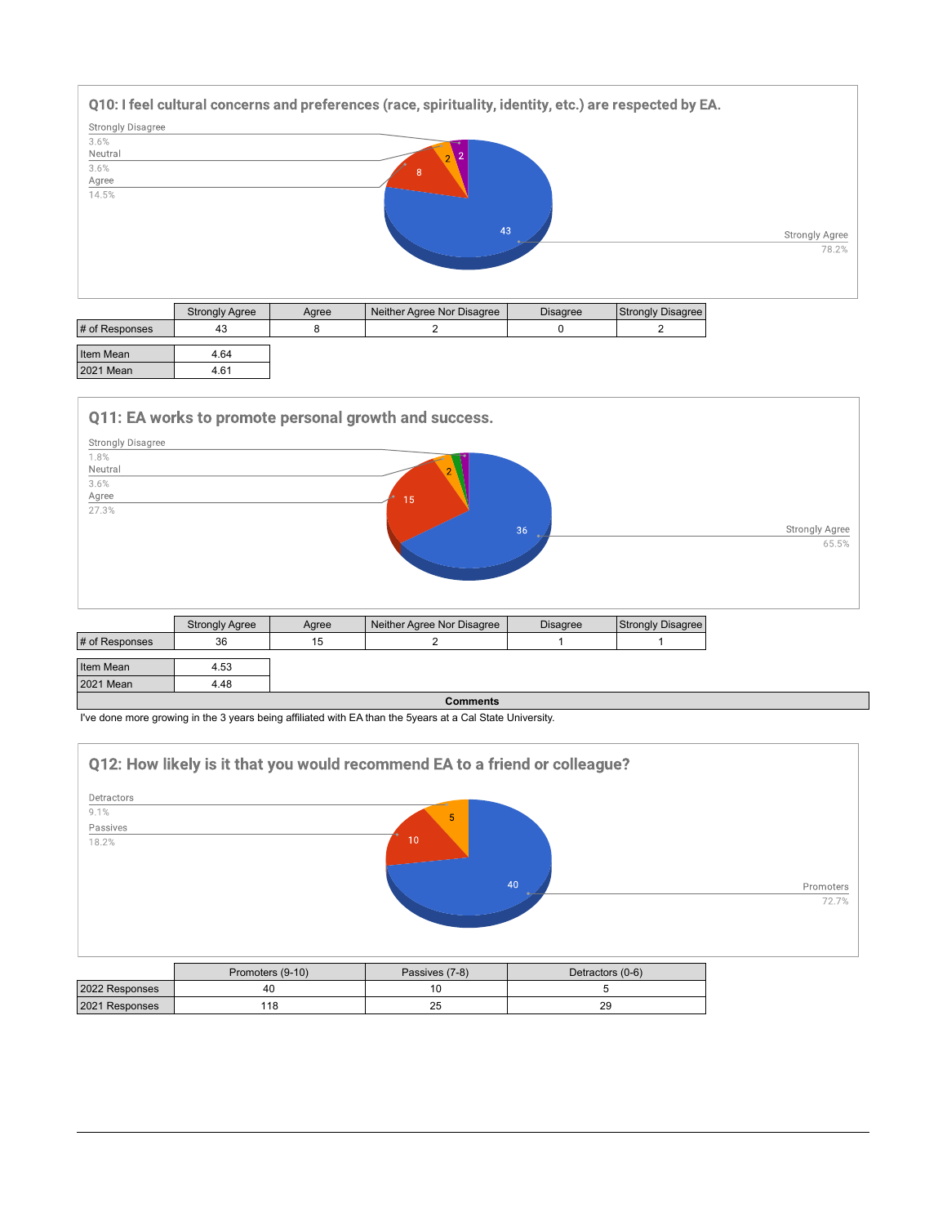

| Item Mean | 4 64 |
|-----------|------|
| 2021 Mean | 4.61 |

2021 Mean 4.48

Q11: EA works to promote personal growth and success.



|                                                                                                           | <b>Comments</b> |
|-----------------------------------------------------------------------------------------------------------|-----------------|
| I've done more growing in the 3 years being affiliated with EA than the 5years at a Cal State University. |                 |



|                | Promoters (9-10) | Passives (7-8) | Detractors (0-6) |
|----------------|------------------|----------------|------------------|
| 2022 Responses |                  |                |                  |
| 2021 Responses | 118              | 25             | 29               |